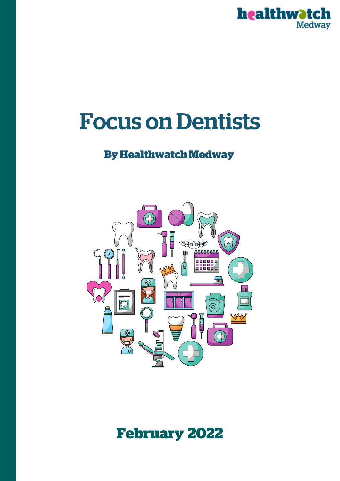

# **Focus on Dentists**

# **ByHealthwatchMedway**



# **February 2022**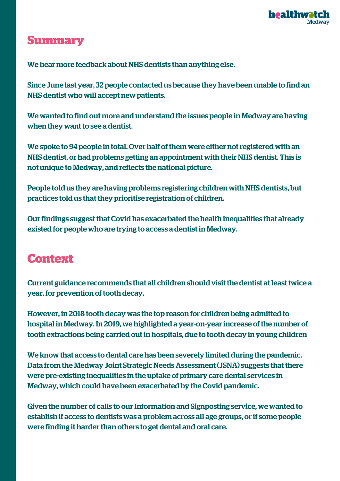

# **Summary**

We hear more feedback about NHS dentists than anything else.

Since June last year, 32 people contacted us because they have been unable to find an NHS dentist who will accept new patients.

We wanted to find out more and understand the issues people in Medway are having when they want to see a dentist.

We spoke to 94 people in total. Over half of them were either not registered with an NHS dentist, or had problems getting an appointment with their NHS dentist. This is not unique to Medway, and reflects the national picture.

People told us they are having problems registering children with NHS dentists, but practices told us that they prioritise registration of children.

Our findings suggest that Covid has exacerbated the health inequalities that already existed for people who are trying to access a dentist in Medway.

# **Context**

Current guidance recommends that all children should visit the dentist at least twice a year, for prevention of tooth decay.

However, in 2018 tooth decay was the top reason for children being admitted to hospital in Medway. In 2019, we highlighted a year-on-year increase of the number of tooth extractions being carried out in hospitals, due to tooth decay in young children

We know that access to dental care has been severely limited during the pandemic. Data from the Medway Joint Strategic Needs Assessment (JSNA) suggests that there were pre-existing inequalities in the uptake of primary care dental services in Medway, which could have been exacerbated by the Covid pandemic.

Given the number of calls to our Information and Signposting service, we wanted to establish if access to dentists was a problem across all age groups, or if some people were finding it harder than others to get dental and oral care.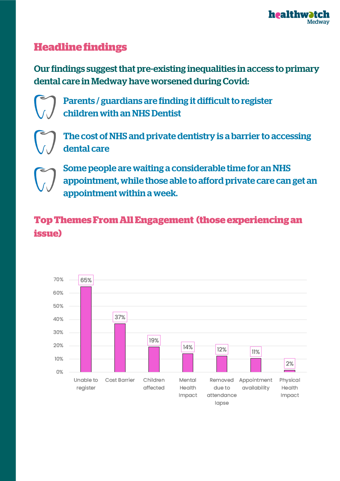

## **Headline findings**

Our findings suggest that pre-existing inequalities in access to primary dental care in Medway have worsened during Covid:



Parents / guardians are finding it difficult to register children with an NHS Dentist



The cost of NHS and private dentistry is a barrier to accessing dental care



Some people are waiting a considerable time for an NHS appointment, while those able to afford private care can get an appointment within a week.

# **TopThemesFromAllEngagement (thoseexperiencingan issue)**

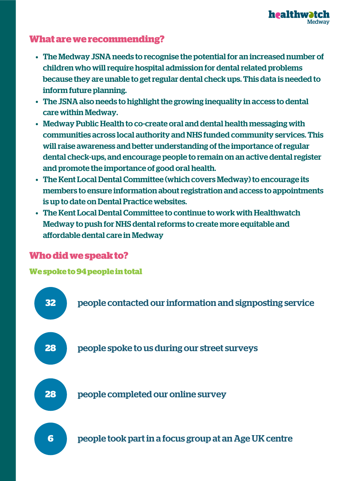

## **Whatarewerecommending?**

- The Medway JSNA needs to recognise the potential for an increased number of children who will require hospital admission for dental related problems because they are unable to get regular dental check ups. This data is needed to inform future planning.
- The JSNA also needs to highlight the growing inequality in access to dental care within Medway.
- Medway Public Health to co-create oral and dental health messaging with communities across local authority and NHS funded community services. This will raise awareness and better understanding of the importance of regular dental check-ups, and encourage people to remain on an active dental register and promote the importance of good oral health.
- The Kent Local Dental Committee (which covers Medway) to encourage its members to ensure information about registration and access to appointments is up to date on Dental Practice websites.
- The Kent Local Dental Committee to continue to work with Healthwatch Medway to push for NHS dental reforms to create more equitable and affordable dental care in Medway

## **Whodidwespeakto?**

**Wespoketo94peopleintotal**

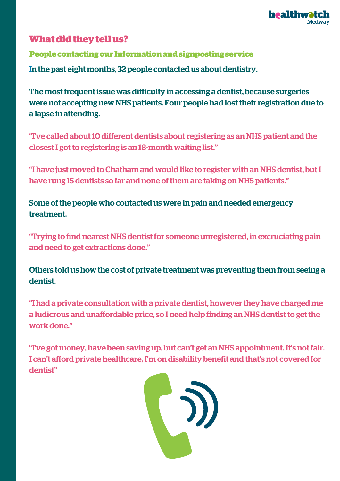

## **What did they tell us?**

In the past eight months, 32 people contacted us about dentistry. **Peoplecontactingour Informationandsignpostingservice**

The most frequent issue was difficulty in accessing a dentist, because surgeries were not accepting new NHS patients. Four people had lost their registration due to a lapse in attending.

"I've called about10 different dentists about registering as an NHS patient and the closest I got to registering is an 18-month waiting list."

"I have just moved to Chatham and would like to register with an NHS dentist, but I have rung 15 dentists so far and none of them are taking on NHS patients."

Some of the people who contacted us were in pain and needed emergency treatment.

"Trying to find nearest NHS dentist for someone unregistered, in excruciating pain and need to get extractions done."

Others told us how the cost of private treatment was preventing them from seeing a dentist.

"I had a private consultation with a private dentist, however they have charged me a ludicrous and unaffordable price, so I need help finding an NHS dentist to get the work done."

"I've got money, have been saving up, but can't get an NHS appointment. It's not fair. I can't afford private healthcare, I'm on disability benefit and that's not covered for dentist"

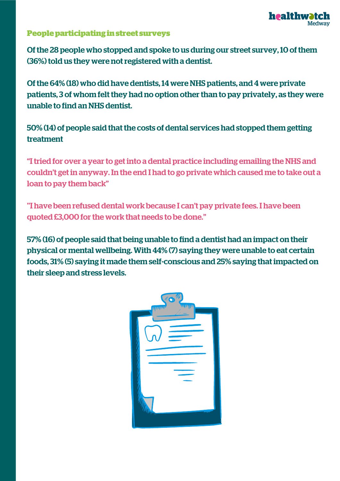

#### **Peopleparticipatinginstreet surveys**

Of the 28 people who stopped and spoke to us during our street survey,10 of them (36%) told us they were not registered with a dentist.

Of the 64% (18) who did have dentists,14 were NHS patients, and 4 were private patients, 3 of whom felt they had no option other than to pay privately, as they were unable to find an NHS dentist.

50% (14) of people said that the costs of dental services had stopped them getting treatment

"I tried for over a year to get into a dental practice including emailing the NHS and couldn't get in anyway. In the end I had to go private which caused me to take out a loan to pay them back"

''I have been refused dental work because I can't pay private fees. I have been quoted £3,000 for the work that needs to be done."

57% (16) of people said that being unable to find a dentist had an impact on their physical or mental wellbeing. With 44% (7) saying they were unable to eat certain foods, 31% (5) saying it made them self-conscious and 25% saying that impacted on their sleep and stress levels.

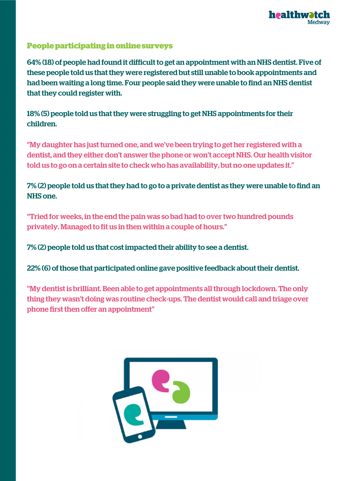

#### **Peopleparticipatinginonlinesurveys**

64% (18) of people had found it difficult to get an appointment with an NHS dentist. Five of these people told us that they were registered but still unable to book appointments and had been waiting a long time. Four people said they were unable to find an NHS dentist that they could register with.

18% (5) people told us that they were struggling to get NHS appointments for their children.

''My daughter has just turned one, and we've been trying to get her registered with a dentist, and they either don't answer the phone or won't accept NHS. Our health visitor told us to go on a certain site to check who has availability, but no one updates it.''

### 7% (2) people told us that they had to go to a private dentist as they were unable to find an NHS one.

"Tried for weeks, in the end the pain was so bad had to over two hundred pounds privately. Managed to fit us in then within a couple of hours."

7% (2) people told us that cost impacted their ability to see a dentist.

22% (6) of those that participated online gave positive feedback about their dentist.

''My dentist is brilliant. Been able to get appointments all through lockdown. The only thing they wasn't doing was routine check-ups. The dentist would call and triage over phone first then offer an appointment"

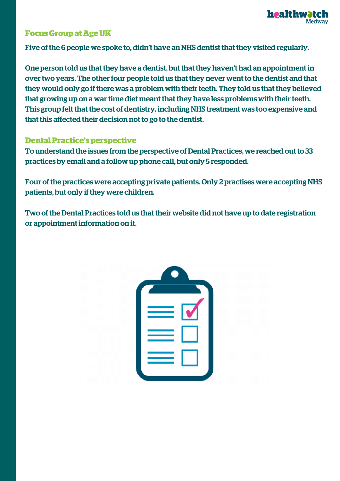

#### **FocusGroupatAgeUK**

Five of the 6 people we spoke to, didn't have an NHS dentist that they visited regularly.

One person told us that they have a dentist, but that they haven't had an appointment in over two years. The other four people told us that they never went to the dentist and that they would only go if there was a problem with their teeth. They told us that they believed that growing up on a war time diet meant that they have less problems with their teeth. This group felt that the cost of dentistry, including NHS treatment was too expensive and that this affected their decision not to go to the dentist.

#### **DentalPractice'sperspective**

To understand the issues from the perspective of Dental Practices, we reached out to 33 practices by email and a follow up phone call, but only 5 responded.

Four of the practices were accepting private patients. Only 2 practises were accepting NHS patients, but only if they were children.

Two of the Dental Practices told us that their website did not have up to date registration or appointment information on it.